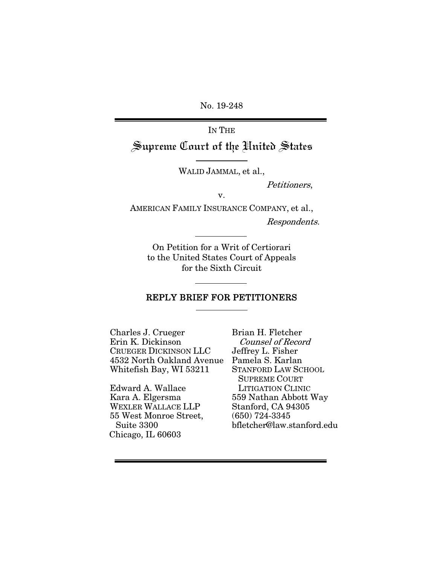No. 19-248

IN THE Supreme Court of the United States

WALID JAMMAL, et al.,

Petitioners,

v.

AMERICAN FAMILY INSURANCE COMPANY, et al., Respondents.

On Petition for a Writ of Certiorari to the United States Court of Appeals for the Sixth Circuit

### REPLY BRIEF FOR PETITIONERS

Charles J. Crueger Erin K. Dickinson CRUEGER DICKINSON LLC 4532 North Oakland Avenue Whitefish Bay, WI 53211

Edward A. Wallace Kara A. Elgersma WEXLER WALLACE LLP 55 West Monroe Street, Suite 3300 Chicago, IL 60603

Brian H. Fletcher Counsel of Record Jeffrey L. Fisher Pamela S. Karlan STANFORD LAW SCHOOL SUPREME COURT LITIGATION CLINIC 559 Nathan Abbott Way Stanford, CA 94305 (650) 724-3345 bfletcher@law.stanford.edu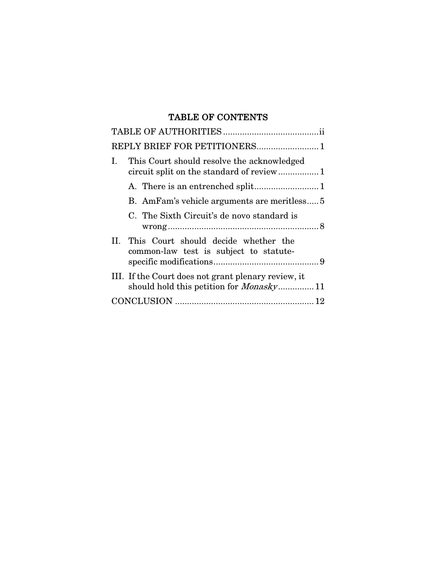# TABLE OF CONTENTS

| REPLY BRIEF FOR PETITIONERS 1                                                                          |
|--------------------------------------------------------------------------------------------------------|
| This Court should resolve the acknowledged<br>Ι.<br>circuit split on the standard of review 1          |
|                                                                                                        |
| B. AmFam's vehicle arguments are meritless                                                             |
| C. The Sixth Circuit's de novo standard is                                                             |
| This Court should decide whether the<br>Н.<br>common-law test is subject to statute-                   |
| III. If the Court does not grant plenary review, it<br>should hold this petition for <i>Monasky</i> 11 |
|                                                                                                        |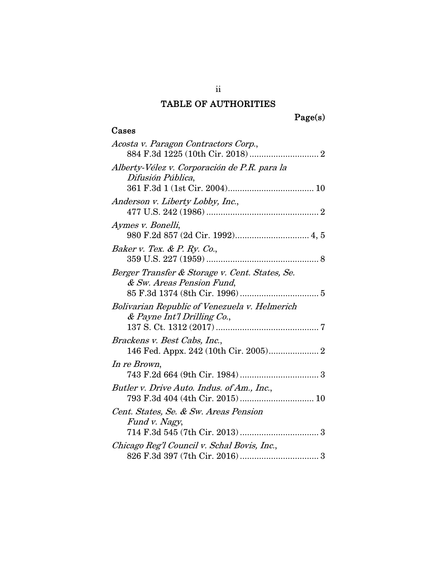# TABLE OF AUTHORITIES

# Page(s)

# Cases

| Acosta v. Paragon Contractors Corp.,                                         |
|------------------------------------------------------------------------------|
| Alberty-Vélez v. Corporación de P.R. para la<br>Difusión Pública,            |
| Anderson v. Liberty Lobby, Inc.,                                             |
| Aymes v. Bonelli,                                                            |
| Baker v. Tex. & P. Ry. Co.,                                                  |
| Berger Transfer & Storage v. Cent. States, Se.<br>& Sw. Areas Pension Fund,  |
| Bolivarian Republic of Venezuela v. Helmerich<br>& Payne Int'l Drilling Co., |
| Brackens v. Best Cabs, Inc.,<br>146 Fed. Appx. 242 (10th Cir. 2005) 2        |
| In re Brown,                                                                 |
| Butler v. Drive Auto. Indus. of Am., Inc.,                                   |
| Cent. States, Se. & Sw. Areas Pension<br>Fund v. Nagy,                       |
| Chicago Reg'l Council v. Schal Bovis, Inc.,                                  |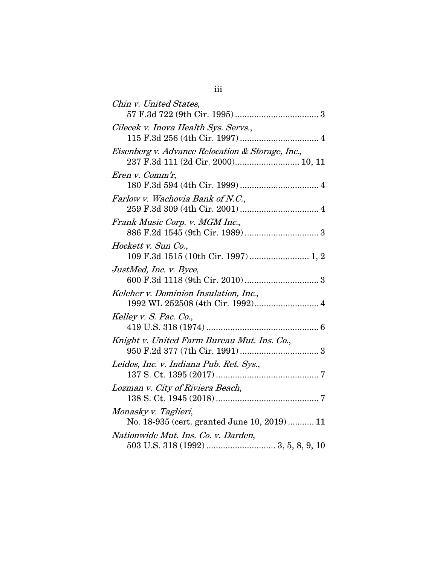| Chin v. United States,                                                    |
|---------------------------------------------------------------------------|
| Cilecek v. Inova Health Sys. Servs.,                                      |
| Eisenberg v. Advance Relocation & Storage, Inc.,                          |
| Eren v. Comm'r,                                                           |
| Farlow v. Wachovia Bank of N.C.,                                          |
| Frank Music Corp. v. MGM Inc.,                                            |
| Hockett v. Sun Co.,<br>109 F.3d 1515 (10th Cir. 1997)  1, 2               |
| JustMed, Inc. v. Byce,                                                    |
| Keleher v. Dominion Insulation, Inc.,<br>1992 WL 252508 (4th Cir. 1992) 4 |
| Kelley v. S. Pac. Co.,                                                    |
| Knight v. United Farm Bureau Mut. Ins. Co.,                               |
| Leidos, Inc. v. Indiana Pub. Ret. Sys.,                                   |
| Lozman v. City of Riviera Beach,                                          |
| Monasky v. Taglieri,<br>No. 18-935 (cert. granted June 10, 2019) 11       |
| Nationwide Mut. Ins. Co. v. Darden,                                       |
|                                                                           |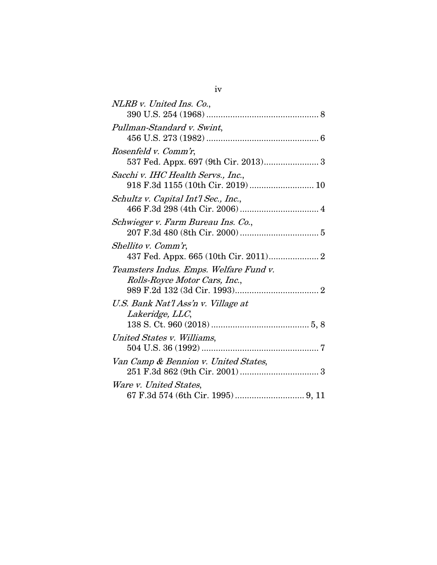| NLRB v. United Ins. Co.,                                                |
|-------------------------------------------------------------------------|
| Pullman-Standard v. Swint,                                              |
| <i>Rosenfeld v. Comm'r,</i><br>537 Fed. Appx. 697 (9th Cir. 2013) 3     |
| Sacchi v. IHC Health Servs., Inc.,<br>918 F.3d 1155 (10th Cir. 2019) 10 |
| Schultz v. Capital Int'l Sec., Inc.,                                    |
| Schwieger v. Farm Bureau Ins. Co.,                                      |
| Shellito v. Comm'r,<br>437 Fed. Appx. 665 (10th Cir. 2011) 2            |
| Teamsters Indus. Emps. Welfare Fund v.<br>Rolls-Royce Motor Cars, Inc., |
| U.S. Bank Nat'l Ass'n v. Village at<br>Lakeridge, LLC,                  |
| United States v. Williams,                                              |
| Van Camp & Bennion v. United States,                                    |
| Ware v. United States,                                                  |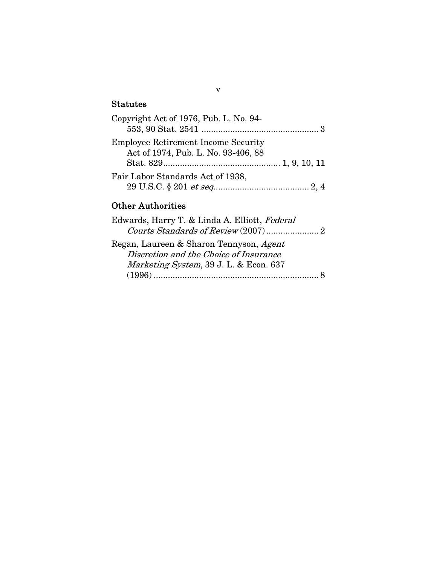# **Statutes**

| Copyright Act of 1976, Pub. L. No. 94-     |
|--------------------------------------------|
|                                            |
| <b>Employee Retirement Income Security</b> |
| Act of 1974, Pub. L. No. 93-406, 88        |
|                                            |
| Fair Labor Standards Act of 1938,          |
|                                            |

# Other Authorities

#### v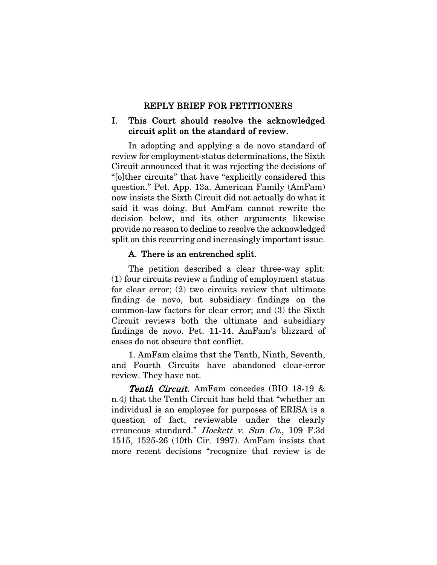#### REPLY BRIEF FOR PETITIONERS

## I. This Court should resolve the acknowledged circuit split on the standard of review.

In adopting and applying a de novo standard of review for employment-status determinations, the Sixth Circuit announced that it was rejecting the decisions of "[o]ther circuits" that have "explicitly considered this question." Pet. App. 13a. American Family (AmFam) now insists the Sixth Circuit did not actually do what it said it was doing. But AmFam cannot rewrite the decision below, and its other arguments likewise provide no reason to decline to resolve the acknowledged split on this recurring and increasingly important issue.

### A. There is an entrenched split.

The petition described a clear three-way split: (1) four circuits review a finding of employment status for clear error; (2) two circuits review that ultimate finding de novo, but subsidiary findings on the common-law factors for clear error; and (3) the Sixth Circuit reviews both the ultimate and subsidiary findings de novo. Pet. 11-14. AmFam's blizzard of cases do not obscure that conflict.

1. AmFam claims that the Tenth, Ninth, Seventh, and Fourth Circuits have abandoned clear-error review. They have not.

Tenth Circuit. AmFam concedes (BIO 18-19 & n.4) that the Tenth Circuit has held that "whether an individual is an employee for purposes of ERISA is a question of fact, reviewable under the clearly erroneous standard." *Hockett v. Sun Co.*, 109 F.3d 1515, 1525-26 (10th Cir. 1997). AmFam insists that more recent decisions "recognize that review is de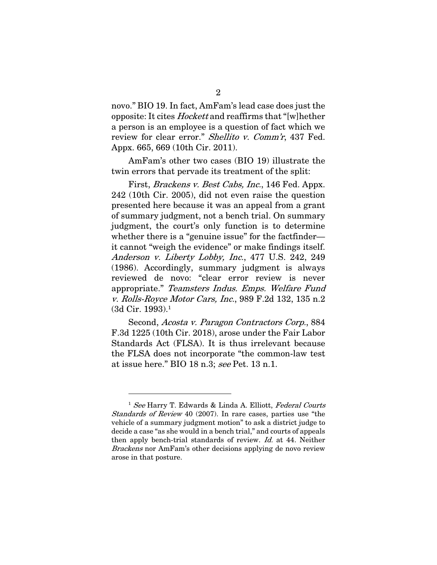novo." BIO 19. In fact, AmFam's lead case does just the opposite: It cites Hockett and reaffirms that "[w]hether a person is an employee is a question of fact which we review for clear error." Shellito v. Comm'r, 437 Fed. Appx. 665, 669 (10th Cir. 2011).

AmFam's other two cases (BIO 19) illustrate the twin errors that pervade its treatment of the split:

First, Brackens v. Best Cabs, Inc., 146 Fed. Appx. 242 (10th Cir. 2005), did not even raise the question presented here because it was an appeal from a grant of summary judgment, not a bench trial. On summary judgment, the court's only function is to determine whether there is a "genuine issue" for the factfinder it cannot "weigh the evidence" or make findings itself. Anderson v. Liberty Lobby, Inc., 477 U.S. 242, 249 (1986). Accordingly, summary judgment is always reviewed de novo: "clear error review is never appropriate." Teamsters Indus. Emps. Welfare Fund v. Rolls-Royce Motor Cars, Inc., 989 F.2d 132, 135 n.2 (3d Cir. 1993).1

Second, Acosta v. Paragon Contractors Corp., 884 F.3d 1225 (10th Cir. 2018), arose under the Fair Labor Standards Act (FLSA). It is thus irrelevant because the FLSA does not incorporate "the common-law test at issue here." BIO 18 n.3; see Pet. 13 n.1.

 $\overline{a}$ 

<sup>&</sup>lt;sup>1</sup> See Harry T. Edwards & Linda A. Elliott, Federal Courts Standards of Review 40 (2007). In rare cases, parties use "the vehicle of a summary judgment motion" to ask a district judge to decide a case "as she would in a bench trial," and courts of appeals then apply bench-trial standards of review. Id. at 44. Neither Brackens nor AmFam's other decisions applying de novo review arose in that posture.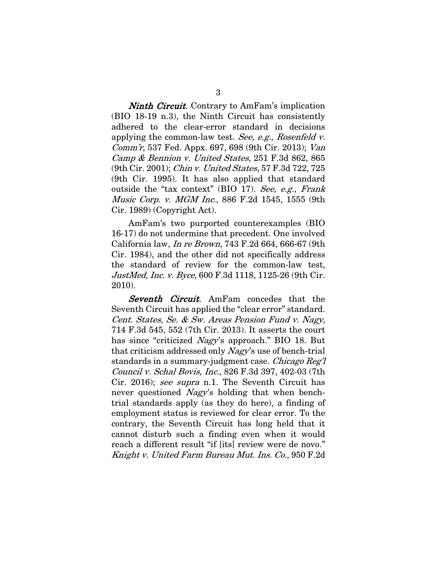**Ninth Circuit.** Contrary to AmFam's implication (BIO 18-19 n.3), the Ninth Circuit has consistently adhered to the clear-error standard in decisions applying the common-law test. See, e.g., Rosenfeld v. Comm'r, 537 Fed. Appx. 697, 698 (9th Cir. 2013); Van Camp & Bennion v. United States, 251 F.3d 862, 865 (9th Cir. 2001); Chin v. United States, 57 F.3d 722, 725 (9th Cir. 1995). It has also applied that standard outside the "tax context" (BIO 17). See, e.g., Frank Music Corp. v. MGM Inc., 886 F.2d 1545, 1555 (9th Cir. 1989) (Copyright Act).

AmFam's two purported counterexamples (BIO 16-17) do not undermine that precedent. One involved California law, In re Brown, 743 F.2d 664, 666-67 (9th Cir. 1984), and the other did not specifically address the standard of review for the common-law test, JustMed, Inc. v. Byce, 600 F.3d 1118, 1125-26 (9th Cir. 2010).

Seventh Circuit. AmFam concedes that the Seventh Circuit has applied the "clear error" standard. Cent. States, Se. & Sw. Areas Pension Fund v. Nagy, 714 F.3d 545, 552 (7th Cir. 2013). It asserts the court has since "criticized *Nagy*'s approach." BIO 18. But that criticism addressed only Nagy's use of bench-trial standards in a summary-judgment case. Chicago Reg'l Council v. Schal Bovis, Inc., 826 F.3d 397, 402-03 (7th Cir. 2016); see supra n.1. The Seventh Circuit has never questioned *Nagy's* holding that when benchtrial standards apply (as they do here), a finding of employment status is reviewed for clear error. To the contrary, the Seventh Circuit has long held that it cannot disturb such a finding even when it would reach a different result "if [its] review were de novo." Knight v. United Farm Bureau Mut. Ins. Co., 950 F.2d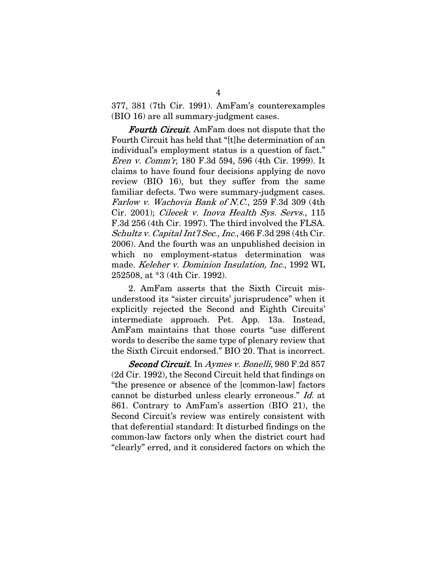377, 381 (7th Cir. 1991). AmFam's counterexamples (BIO 16) are all summary-judgment cases.

Fourth Circuit. AmFam does not dispute that the Fourth Circuit has held that "[t]he determination of an individual's employment status is a question of fact." Eren v. Comm'r, 180 F.3d 594, 596 (4th Cir. 1999). It claims to have found four decisions applying de novo review (BIO 16), but they suffer from the same familiar defects. Two were summary-judgment cases. Farlow v. Wachovia Bank of N.C., 259 F.3d 309 (4th Cir. 2001); Cilecek v. Inova Health Sys. Servs., 115 F.3d 256 (4th Cir. 1997). The third involved the FLSA. Schultz v. Capital Int'l Sec., Inc., 466 F.3d 298 (4th Cir. 2006). And the fourth was an unpublished decision in which no employment-status determination was made. Keleher v. Dominion Insulation, Inc., 1992 WL 252508, at \*3 (4th Cir. 1992).

2. AmFam asserts that the Sixth Circuit misunderstood its "sister circuits' jurisprudence" when it explicitly rejected the Second and Eighth Circuits' intermediate approach. Pet. App. 13a. Instead, AmFam maintains that those courts "use different words to describe the same type of plenary review that the Sixth Circuit endorsed." BIO 20. That is incorrect.

Second Circuit. In Aymes v. Bonelli, 980 F.2d 857 (2d Cir. 1992), the Second Circuit held that findings on "the presence or absence of the [common-law] factors cannot be disturbed unless clearly erroneous." Id. at 861. Contrary to AmFam's assertion (BIO 21), the Second Circuit's review was entirely consistent with that deferential standard: It disturbed findings on the common-law factors only when the district court had "clearly" erred, and it considered factors on which the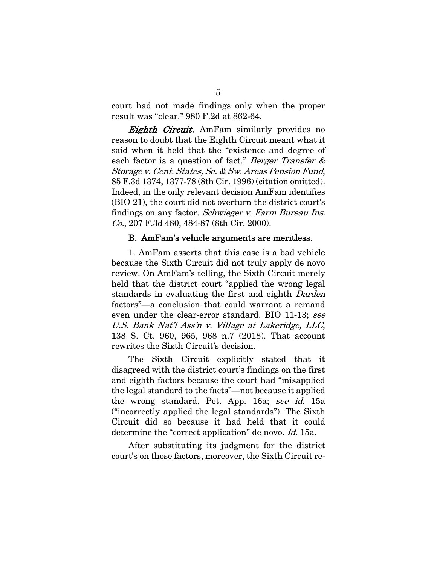court had not made findings only when the proper result was "clear." 980 F.2d at 862-64.

**Eighth Circuit.** AmFam similarly provides no reason to doubt that the Eighth Circuit meant what it said when it held that the "existence and degree of each factor is a question of fact." Berger Transfer & Storage v. Cent. States, Se. & Sw. Areas Pension Fund, 85 F.3d 1374, 1377-78 (8th Cir. 1996) (citation omitted). Indeed, in the only relevant decision AmFam identifies (BIO 21), the court did not overturn the district court's findings on any factor. Schwieger v. Farm Bureau Ins. Co., 207 F.3d 480, 484-87 (8th Cir. 2000).

#### B. AmFam's vehicle arguments are meritless.

1. AmFam asserts that this case is a bad vehicle because the Sixth Circuit did not truly apply de novo review. On AmFam's telling, the Sixth Circuit merely held that the district court "applied the wrong legal standards in evaluating the first and eighth Darden factors"—a conclusion that could warrant a remand even under the clear-error standard. BIO 11-13; see U.S. Bank Nat'l Ass'n v. Village at Lakeridge, LLC, 138 S. Ct. 960, 965, 968 n.7 (2018). That account rewrites the Sixth Circuit's decision.

The Sixth Circuit explicitly stated that it disagreed with the district court's findings on the first and eighth factors because the court had "misapplied the legal standard to the facts"—not because it applied the wrong standard. Pet. App. 16a; see id. 15a ("incorrectly applied the legal standards"). The Sixth Circuit did so because it had held that it could determine the "correct application" de novo. Id. 15a.

After substituting its judgment for the district court's on those factors, moreover, the Sixth Circuit re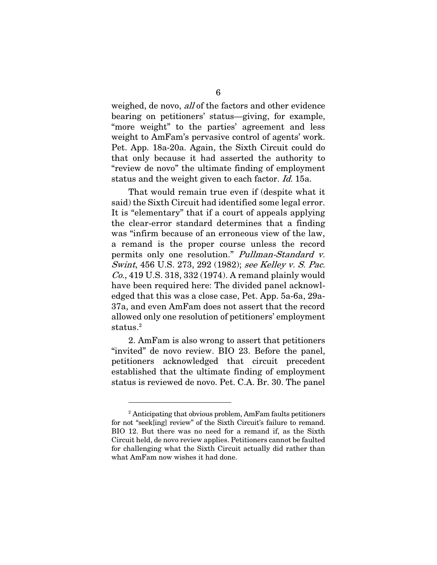weighed, de novo, all of the factors and other evidence bearing on petitioners' status—giving, for example, "more weight" to the parties' agreement and less weight to AmFam's pervasive control of agents' work. Pet. App. 18a-20a. Again, the Sixth Circuit could do that only because it had asserted the authority to "review de novo" the ultimate finding of employment status and the weight given to each factor. Id. 15a.

That would remain true even if (despite what it said) the Sixth Circuit had identified some legal error. It is "elementary" that if a court of appeals applying the clear-error standard determines that a finding was "infirm because of an erroneous view of the law, a remand is the proper course unless the record permits only one resolution." Pullman-Standard v. Swint, 456 U.S. 273, 292 (1982); see Kelley v. S. Pac. Co., 419 U.S. 318, 332 (1974). A remand plainly would have been required here: The divided panel acknowledged that this was a close case, Pet. App. 5a-6a, 29a-37a, and even AmFam does not assert that the record allowed only one resolution of petitioners' employment status.<sup>2</sup>

2. AmFam is also wrong to assert that petitioners "invited" de novo review. BIO 23. Before the panel, petitioners acknowledged that circuit precedent established that the ultimate finding of employment status is reviewed de novo. Pet. C.A. Br. 30. The panel

-

<sup>&</sup>lt;sup>2</sup> Anticipating that obvious problem, AmFam faults petitioners for not "seek[ing] review" of the Sixth Circuit's failure to remand. BIO 12. But there was no need for a remand if, as the Sixth Circuit held, de novo review applies. Petitioners cannot be faulted for challenging what the Sixth Circuit actually did rather than what AmFam now wishes it had done.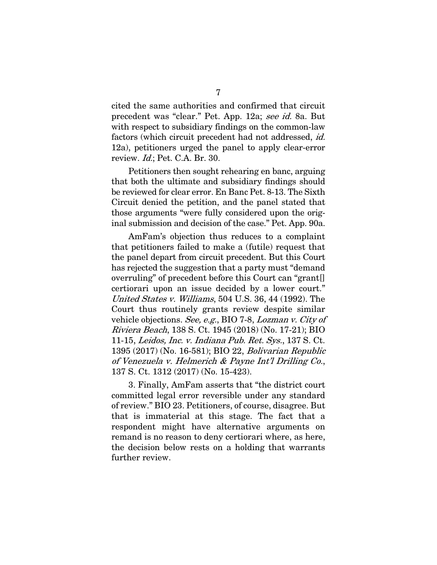cited the same authorities and confirmed that circuit precedent was "clear." Pet. App. 12a; see id. 8a. But with respect to subsidiary findings on the common-law factors (which circuit precedent had not addressed, *id.* 12a), petitioners urged the panel to apply clear-error review. Id.; Pet. C.A. Br. 30.

Petitioners then sought rehearing en banc, arguing that both the ultimate and subsidiary findings should be reviewed for clear error. En Banc Pet. 8-13. The Sixth Circuit denied the petition, and the panel stated that those arguments "were fully considered upon the original submission and decision of the case." Pet. App. 90a.

AmFam's objection thus reduces to a complaint that petitioners failed to make a (futile) request that the panel depart from circuit precedent. But this Court has rejected the suggestion that a party must "demand overruling" of precedent before this Court can "grant[] certiorari upon an issue decided by a lower court." United States v. Williams, 504 U.S. 36, 44 (1992). The Court thus routinely grants review despite similar vehicle objections. See, e.g., BIO 7-8, Lozman v. City of Riviera Beach, 138 S. Ct. 1945 (2018) (No. 17-21); BIO 11-15, Leidos, Inc. v. Indiana Pub. Ret. Sys., 137 S. Ct. 1395 (2017) (No. 16-581); BIO 22, Bolivarian Republic of Venezuela v. Helmerich & Payne Int'l Drilling Co., 137 S. Ct. 1312 (2017) (No. 15-423).

3. Finally, AmFam asserts that "the district court committed legal error reversible under any standard of review." BIO 23. Petitioners, of course, disagree. But that is immaterial at this stage. The fact that a respondent might have alternative arguments on remand is no reason to deny certiorari where, as here, the decision below rests on a holding that warrants further review.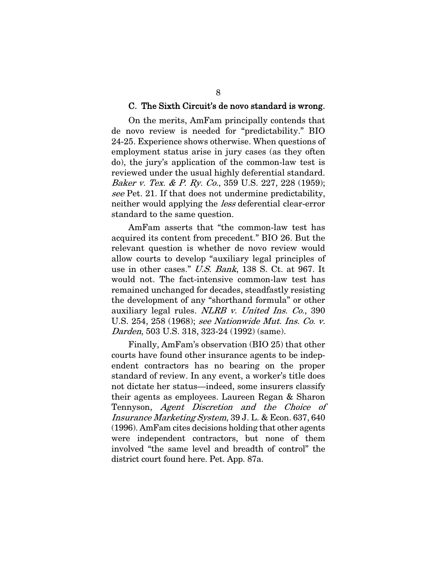#### C. The Sixth Circuit's de novo standard is wrong.

On the merits, AmFam principally contends that de novo review is needed for "predictability." BIO 24-25. Experience shows otherwise. When questions of employment status arise in jury cases (as they often do), the jury's application of the common-law test is reviewed under the usual highly deferential standard. Baker v. Tex. & P. Ry. Co., 359 U.S. 227, 228 (1959); see Pet. 21. If that does not undermine predictability, neither would applying the less deferential clear-error standard to the same question.

AmFam asserts that "the common-law test has acquired its content from precedent." BIO 26. But the relevant question is whether de novo review would allow courts to develop "auxiliary legal principles of use in other cases." U.S. Bank, 138 S. Ct. at 967. It would not. The fact-intensive common-law test has remained unchanged for decades, steadfastly resisting the development of any "shorthand formula" or other auxiliary legal rules. NLRB v. United Ins. Co., 390 U.S. 254, 258 (1968); see Nationwide Mut. Ins. Co. v. Darden, 503 U.S. 318, 323-24 (1992) (same).

Finally, AmFam's observation (BIO 25) that other courts have found other insurance agents to be independent contractors has no bearing on the proper standard of review. In any event, a worker's title does not dictate her status—indeed, some insurers classify their agents as employees. Laureen Regan & Sharon Tennyson, Agent Discretion and the Choice of Insurance Marketing System, 39 J. L. & Econ. 637, 640 (1996). AmFam cites decisions holding that other agents were independent contractors, but none of them involved "the same level and breadth of control" the district court found here. Pet. App. 87a.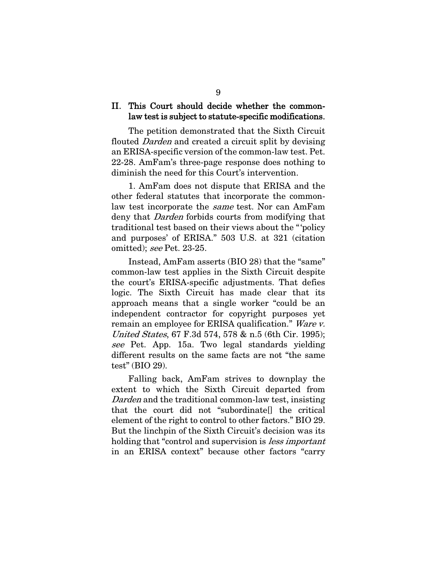### II. This Court should decide whether the commonlaw test is subject to statute-specific modifications.

 The petition demonstrated that the Sixth Circuit flouted *Darden* and created a circuit split by devising an ERISA-specific version of the common-law test. Pet. 22-28. AmFam's three-page response does nothing to diminish the need for this Court's intervention.

1. AmFam does not dispute that ERISA and the other federal statutes that incorporate the commonlaw test incorporate the same test. Nor can AmFam deny that *Darden* forbids courts from modifying that traditional test based on their views about the " 'policy and purposes' of ERISA." 503 U.S. at 321 (citation omitted); see Pet. 23-25.

Instead, AmFam asserts (BIO 28) that the "same" common-law test applies in the Sixth Circuit despite the court's ERISA-specific adjustments. That defies logic. The Sixth Circuit has made clear that its approach means that a single worker "could be an independent contractor for copyright purposes yet remain an employee for ERISA qualification." Ware v. United States, 67 F.3d 574, 578 & n.5 (6th Cir. 1995); see Pet. App. 15a. Two legal standards yielding different results on the same facts are not "the same test" (BIO 29).

Falling back, AmFam strives to downplay the extent to which the Sixth Circuit departed from Darden and the traditional common-law test, insisting that the court did not "subordinate[] the critical element of the right to control to other factors." BIO 29. But the linchpin of the Sixth Circuit's decision was its holding that "control and supervision is *less important* in an ERISA context" because other factors "carry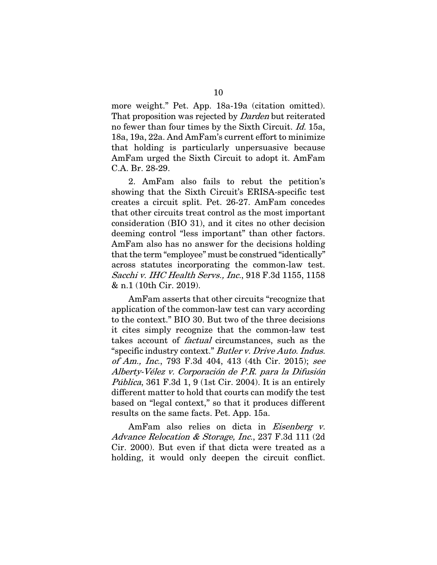more weight." Pet. App. 18a-19a (citation omitted). That proposition was rejected by *Darden* but reiterated no fewer than four times by the Sixth Circuit. Id. 15a, 18a, 19a, 22a. And AmFam's current effort to minimize that holding is particularly unpersuasive because AmFam urged the Sixth Circuit to adopt it. AmFam C.A. Br. 28-29.

2. AmFam also fails to rebut the petition's showing that the Sixth Circuit's ERISA-specific test creates a circuit split. Pet. 26-27. AmFam concedes that other circuits treat control as the most important consideration (BIO 31), and it cites no other decision deeming control "less important" than other factors. AmFam also has no answer for the decisions holding that the term "employee" must be construed "identically" across statutes incorporating the common-law test. Sacchi v. IHC Health Servs., Inc., 918 F.3d 1155, 1158 & n.1 (10th Cir. 2019).

AmFam asserts that other circuits "recognize that application of the common-law test can vary according to the context." BIO 30. But two of the three decisions it cites simply recognize that the common-law test takes account of factual circumstances, such as the "specific industry context." Butler v. Drive Auto. Indus. of Am., Inc., 793 F.3d 404, 413 (4th Cir. 2015); see Alberty-Vélez v. Corporación de P.R. para la Difusión *Pública*, 361 F.3d 1, 9 (1st Cir. 2004). It is an entirely different matter to hold that courts can modify the test based on "legal context," so that it produces different results on the same facts. Pet. App. 15a.

AmFam also relies on dicta in *Eisenberg v*. Advance Relocation & Storage, Inc., 237 F.3d 111 (2d Cir. 2000). But even if that dicta were treated as a holding, it would only deepen the circuit conflict.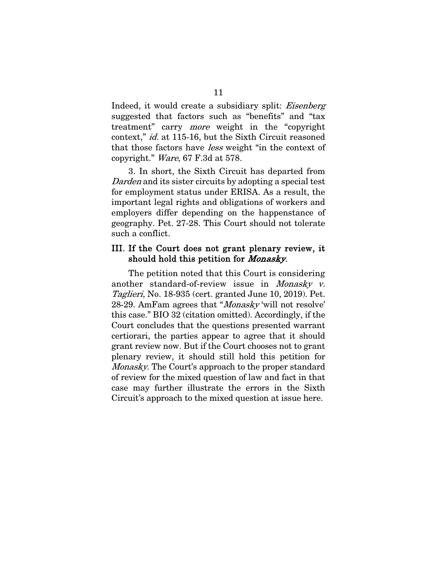Indeed, it would create a subsidiary split: Eisenberg suggested that factors such as "benefits" and "tax treatment" carry more weight in the "copyright context," id. at 115-16, but the Sixth Circuit reasoned that those factors have less weight "in the context of copyright." Ware, 67 F.3d at 578.

3. In short, the Sixth Circuit has departed from Darden and its sister circuits by adopting a special test for employment status under ERISA. As a result, the important legal rights and obligations of workers and employers differ depending on the happenstance of geography. Pet. 27-28. This Court should not tolerate such a conflict.

### III. If the Court does not grant plenary review, it should hold this petition for Monasky.

The petition noted that this Court is considering another standard-of-review issue in Monasky v. Taglieri, No. 18-935 (cert. granted June 10, 2019). Pet. 28-29. AmFam agrees that "Monasky 'will not resolve' this case." BIO 32 (citation omitted). Accordingly, if the Court concludes that the questions presented warrant certiorari, the parties appear to agree that it should grant review now. But if the Court chooses not to grant plenary review, it should still hold this petition for Monasky. The Court's approach to the proper standard of review for the mixed question of law and fact in that case may further illustrate the errors in the Sixth Circuit's approach to the mixed question at issue here.